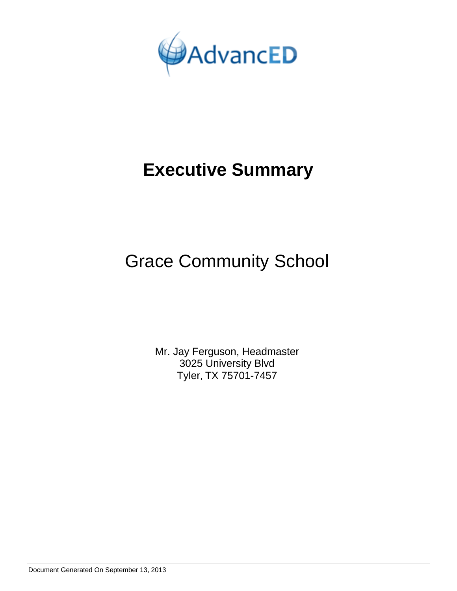

# **Executive Summary**

## Grace Community School

Mr. Jay Ferguson, Headmaster 3025 University Blvd Tyler, TX 75701-7457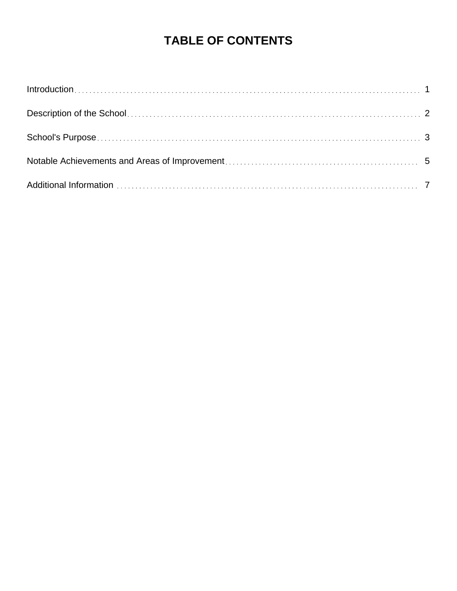### **TABLE OF CONTENTS**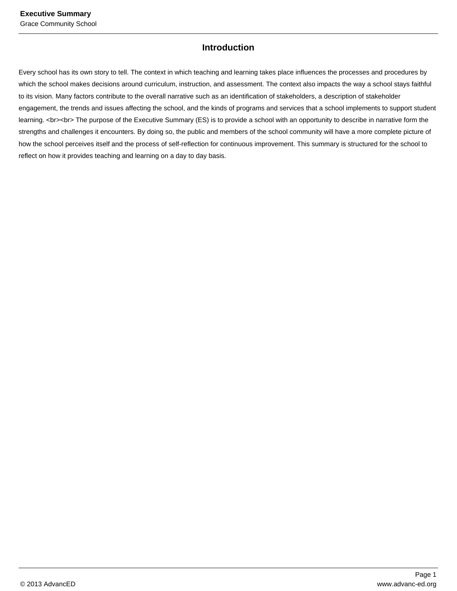#### **Introduction**

Every school has its own story to tell. The context in which teaching and learning takes place influences the processes and procedures by which the school makes decisions around curriculum, instruction, and assessment. The context also impacts the way a school stays faithful to its vision. Many factors contribute to the overall narrative such as an identification of stakeholders, a description of stakeholder engagement, the trends and issues affecting the school, and the kinds of programs and services that a school implements to support student learning. <br><br> The purpose of the Executive Summary (ES) is to provide a school with an opportunity to describe in narrative form the strengths and challenges it encounters. By doing so, the public and members of the school community will have a more complete picture of how the school perceives itself and the process of self-reflection for continuous improvement. This summary is structured for the school to reflect on how it provides teaching and learning on a day to day basis.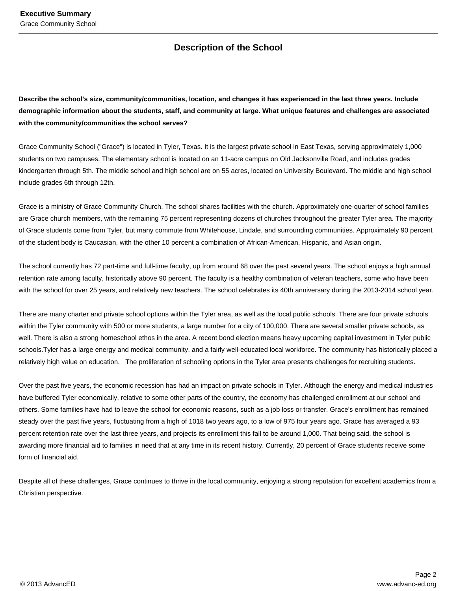### **Description of the School**

**Describe the school's size, community/communities, location, and changes it has experienced in the last three years. Include demographic information about the students, staff, and community at large. What unique features and challenges are associated with the community/communities the school serves?**

Grace Community School ("Grace") is located in Tyler, Texas. It is the largest private school in East Texas, serving approximately 1,000 students on two campuses. The elementary school is located on an 11-acre campus on Old Jacksonville Road, and includes grades kindergarten through 5th. The middle school and high school are on 55 acres, located on University Boulevard. The middle and high school include grades 6th through 12th.

Grace is a ministry of Grace Community Church. The school shares facilities with the church. Approximately one-quarter of school families are Grace church members, with the remaining 75 percent representing dozens of churches throughout the greater Tyler area. The majority of Grace students come from Tyler, but many commute from Whitehouse, Lindale, and surrounding communities. Approximately 90 percent of the student body is Caucasian, with the other 10 percent a combination of African-American, Hispanic, and Asian origin.

The school currently has 72 part-time and full-time faculty, up from around 68 over the past several years. The school enjoys a high annual retention rate among faculty, historically above 90 percent. The faculty is a healthy combination of veteran teachers, some who have been with the school for over 25 years, and relatively new teachers. The school celebrates its 40th anniversary during the 2013-2014 school year.

There are many charter and private school options within the Tyler area, as well as the local public schools. There are four private schools within the Tyler community with 500 or more students, a large number for a city of 100,000. There are several smaller private schools, as well. There is also a strong homeschool ethos in the area. A recent bond election means heavy upcoming capital investment in Tyler public schools.Tyler has a large energy and medical community, and a fairly well-educated local workforce. The community has historically placed a relatively high value on education. The proliferation of schooling options in the Tyler area presents challenges for recruiting students.

Over the past five years, the economic recession has had an impact on private schools in Tyler. Although the energy and medical industries have buffered Tyler economically, relative to some other parts of the country, the economy has challenged enrollment at our school and others. Some families have had to leave the school for economic reasons, such as a job loss or transfer. Grace's enrollment has remained steady over the past five years, fluctuating from a high of 1018 two years ago, to a low of 975 four years ago. Grace has averaged a 93 percent retention rate over the last three years, and projects its enrollment this fall to be around 1,000. That being said, the school is awarding more financial aid to families in need that at any time in its recent history. Currently, 20 percent of Grace students receive some form of financial aid.

Despite all of these challenges, Grace continues to thrive in the local community, enjoying a strong reputation for excellent academics from a Christian perspective.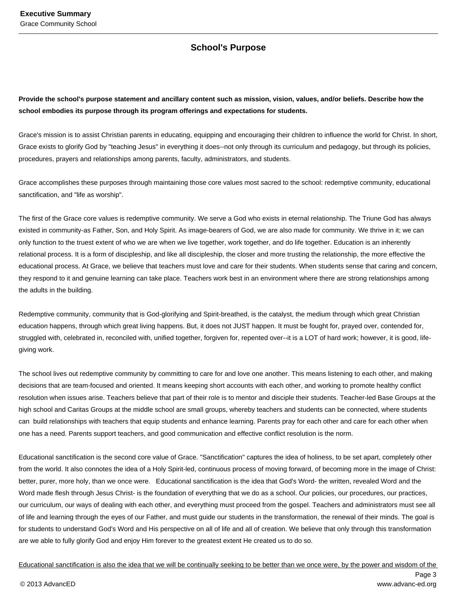#### **School's Purpose**

**Provide the school's purpose statement and ancillary content such as mission, vision, values, and/or beliefs. Describe how the school embodies its purpose through its program offerings and expectations for students.**

Grace's mission is to assist Christian parents in educating, equipping and encouraging their children to influence the world for Christ. In short, Grace exists to glorify God by "teaching Jesus" in everything it does--not only through its curriculum and pedagogy, but through its policies, procedures, prayers and relationships among parents, faculty, administrators, and students.

Grace accomplishes these purposes through maintaining those core values most sacred to the school: redemptive community, educational sanctification, and "life as worship".

The first of the Grace core values is redemptive community. We serve a God who exists in eternal relationship. The Triune God has always existed in community-as Father, Son, and Holy Spirit. As image-bearers of God, we are also made for community. We thrive in it; we can only function to the truest extent of who we are when we live together, work together, and do life together. Education is an inherently relational process. It is a form of discipleship, and like all discipleship, the closer and more trusting the relationship, the more effective the educational process. At Grace, we believe that teachers must love and care for their students. When students sense that caring and concern, they respond to it and genuine learning can take place. Teachers work best in an environment where there are strong relationships among the adults in the building.

Redemptive community, community that is God-glorifying and Spirit-breathed, is the catalyst, the medium through which great Christian education happens, through which great living happens. But, it does not JUST happen. It must be fought for, prayed over, contended for, struggled with, celebrated in, reconciled with, unified together, forgiven for, repented over--it is a LOT of hard work; however, it is good, lifegiving work.

The school lives out redemptive community by committing to care for and love one another. This means listening to each other, and making decisions that are team-focused and oriented. It means keeping short accounts with each other, and working to promote healthy conflict resolution when issues arise. Teachers believe that part of their role is to mentor and disciple their students. Teacher-led Base Groups at the high school and Caritas Groups at the middle school are small groups, whereby teachers and students can be connected, where students can build relationships with teachers that equip students and enhance learning. Parents pray for each other and care for each other when one has a need. Parents support teachers, and good communication and effective conflict resolution is the norm.

Educational sanctification is the second core value of Grace. "Sanctification" captures the idea of holiness, to be set apart, completely other from the world. It also connotes the idea of a Holy Spirit-led, continuous process of moving forward, of becoming more in the image of Christ: better, purer, more holy, than we once were. Educational sanctification is the idea that God's Word- the written, revealed Word and the Word made flesh through Jesus Christ- is the foundation of everything that we do as a school. Our policies, our procedures, our practices, our curriculum, our ways of dealing with each other, and everything must proceed from the gospel. Teachers and administrators must see all of life and learning through the eyes of our Father, and must guide our students in the transformation, the renewal of their minds. The goal is for students to understand God's Word and His perspective on all of life and all of creation. We believe that only through this transformation are we able to fully glorify God and enjoy Him forever to the greatest extent He created us to do so.

Educational sanctification is also the idea that we will be continually seeking to be better than we once were, by the power and wisdom of the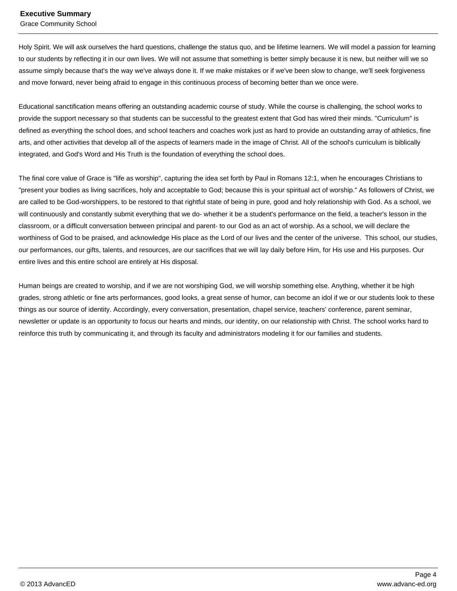Grace Community School

Holy Spirit. We will ask ourselves the hard questions, challenge the status quo, and be lifetime learners. We will model a passion for learning to our students by reflecting it in our own lives. We will not assume that something is better simply because it is new, but neither will we so assume simply because that's the way we've always done it. If we make mistakes or if we've been slow to change, we'll seek forgiveness and move forward, never being afraid to engage in this continuous process of becoming better than we once were.

Educational sanctification means offering an outstanding academic course of study. While the course is challenging, the school works to provide the support necessary so that students can be successful to the greatest extent that God has wired their minds. "Curriculum" is defined as everything the school does, and school teachers and coaches work just as hard to provide an outstanding array of athletics, fine arts, and other activities that develop all of the aspects of learners made in the image of Christ. All of the school's curriculum is biblically integrated, and God's Word and His Truth is the foundation of everything the school does.

The final core value of Grace is "life as worship", capturing the idea set forth by Paul in Romans 12:1, when he encourages Christians to "present your bodies as living sacrifices, holy and acceptable to God; because this is your spiritual act of worship." As followers of Christ, we are called to be God-worshippers, to be restored to that rightful state of being in pure, good and holy relationship with God. As a school, we will continuously and constantly submit everything that we do- whether it be a student's performance on the field, a teacher's lesson in the classroom, or a difficult conversation between principal and parent- to our God as an act of worship. As a school, we will declare the worthiness of God to be praised, and acknowledge His place as the Lord of our lives and the center of the universe. This school, our studies, our performances, our gifts, talents, and resources, are our sacrifices that we will lay daily before Him, for His use and His purposes. Our entire lives and this entire school are entirely at His disposal.

Human beings are created to worship, and if we are not worshiping God, we will worship something else. Anything, whether it be high grades, strong athletic or fine arts performances, good looks, a great sense of humor, can become an idol if we or our students look to these things as our source of identity. Accordingly, every conversation, presentation, chapel service, teachers' conference, parent seminar, newsletter or update is an opportunity to focus our hearts and minds, our identity, on our relationship with Christ. The school works hard to reinforce this truth by communicating it, and through its faculty and administrators modeling it for our families and students.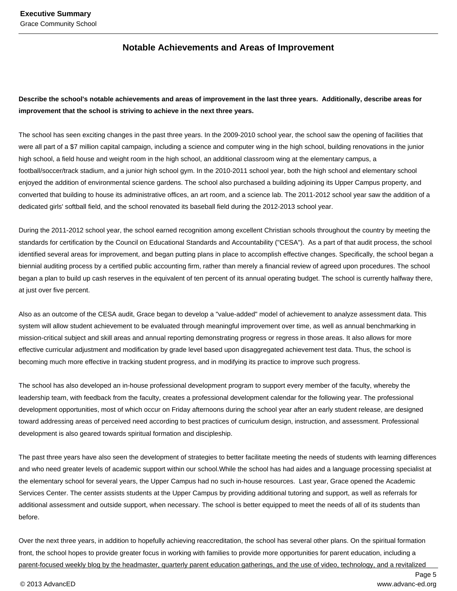#### **Notable Achievements and Areas of Improvement**

#### **Describe the school's notable achievements and areas of improvement in the last three years. Additionally, describe areas for improvement that the school is striving to achieve in the next three years.**

The school has seen exciting changes in the past three years. In the 2009-2010 school year, the school saw the opening of facilities that were all part of a \$7 million capital campaign, including a science and computer wing in the high school, building renovations in the junior high school, a field house and weight room in the high school, an additional classroom wing at the elementary campus, a football/soccer/track stadium, and a junior high school gym. In the 2010-2011 school year, both the high school and elementary school enjoyed the addition of environmental science gardens. The school also purchased a building adjoining its Upper Campus property, and converted that building to house its administrative offices, an art room, and a science lab. The 2011-2012 school year saw the addition of a dedicated girls' softball field, and the school renovated its baseball field during the 2012-2013 school year.

During the 2011-2012 school year, the school earned recognition among excellent Christian schools throughout the country by meeting the standards for certification by the Council on Educational Standards and Accountability ("CESA"). As a part of that audit process, the school identified several areas for improvement, and began putting plans in place to accomplish effective changes. Specifically, the school began a biennial auditing process by a certified public accounting firm, rather than merely a financial review of agreed upon procedures. The school began a plan to build up cash reserves in the equivalent of ten percent of its annual operating budget. The school is currently halfway there, at just over five percent.

Also as an outcome of the CESA audit, Grace began to develop a "value-added" model of achievement to analyze assessment data. This system will allow student achievement to be evaluated through meaningful improvement over time, as well as annual benchmarking in mission-critical subject and skill areas and annual reporting demonstrating progress or regress in those areas. It also allows for more effective curricular adjustment and modification by grade level based upon disaggregated achievement test data. Thus, the school is becoming much more effective in tracking student progress, and in modifying its practice to improve such progress.

The school has also developed an in-house professional development program to support every member of the faculty, whereby the leadership team, with feedback from the faculty, creates a professional development calendar for the following year. The professional development opportunities, most of which occur on Friday afternoons during the school year after an early student release, are designed toward addressing areas of perceived need according to best practices of curriculum design, instruction, and assessment. Professional development is also geared towards spiritual formation and discipleship.

The past three years have also seen the development of strategies to better facilitate meeting the needs of students with learning differences and who need greater levels of academic support within our school.While the school has had aides and a language processing specialist at the elementary school for several years, the Upper Campus had no such in-house resources. Last year, Grace opened the Academic Services Center. The center assists students at the Upper Campus by providing additional tutoring and support, as well as referrals for additional assessment and outside support, when necessary. The school is better equipped to meet the needs of all of its students than before.

Over the next three years, in addition to hopefully achieving reaccreditation, the school has several other plans. On the spiritual formation front, the school hopes to provide greater focus in working with families to provide more opportunities for parent education, including a parent-focused weekly blog by the headmaster, quarterly parent education gatherings, and the use of video, technology, and a revitalized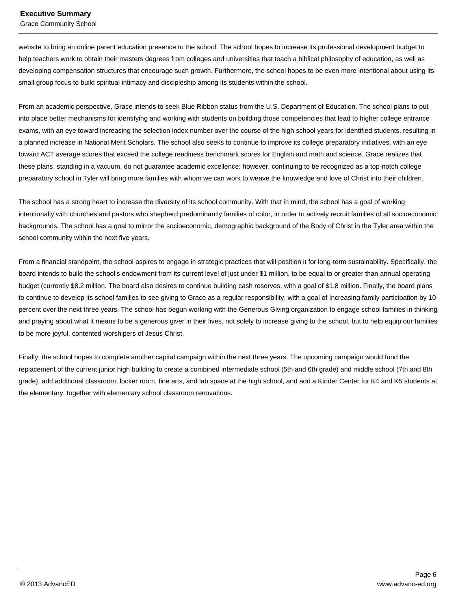Grace Community School

website to bring an online parent education presence to the school. The school hopes to increase its professional development budget to help teachers work to obtain their masters degrees from colleges and universities that teach a biblical philosophy of education, as well as developing compensation structures that encourage such growth. Furthermore, the school hopes to be even more intentional about using its small group focus to build spiritual intimacy and discipleship among its students within the school.

From an academic perspective, Grace intends to seek Blue Ribbon status from the U.S. Department of Education. The school plans to put into place better mechanisms for identifying and working with students on building those competencies that lead to higher college entrance exams, with an eye toward increasing the selection index number over the course of the high school years for identified students, resulting in a planned increase in National Merit Scholars. The school also seeks to continue to improve its college preparatory initiatives, with an eye toward ACT average scores that exceed the college readiness benchmark scores for English and math and science. Grace realizes that these plans, standing in a vacuum, do not guarantee academic excellence; however, continuing to be recognized as a top-notch college preparatory school in Tyler will bring more families with whom we can work to weave the knowledge and love of Christ into their children.

The school has a strong heart to increase the diversity of its school community. With that in mind, the school has a goal of working intentionally with churches and pastors who shepherd predominantly families of color, in order to actively recruit families of all socioeconomic backgrounds. The school has a goal to mirror the socioeconomic, demographic background of the Body of Christ in the Tyler area within the school community within the next five years.

From a financial standpoint, the school aspires to engage in strategic practices that will position it for long-term sustainability. Specifically, the board intends to build the school's endowment from its current level of just under \$1 million, to be equal to or greater than annual operating budget (currently \$8.2 million. The board also desires to continue building cash reserves, with a goal of \$1.8 million. Finally, the board plans to continue to develop its school families to see giving to Grace as a regular responsibility, with a goal of Increasing family participation by 10 percent over the next three years. The school has begun working with the Generous Giving organization to engage school families in thinking and praying about what it means to be a generous giver in their lives, not solely to increase giving to the school, but to help equip our families to be more joyful, contented worshipers of Jesus Christ.

Finally, the school hopes to complete another capital campaign within the next three years. The upcoming campaign would fund the replacement of the current junior high building to create a combined intermediate school (5th and 6th grade) and middle school (7th and 8th grade), add additional classroom, locker room, fine arts, and lab space at the high school, and add a Kinder Center for K4 and K5 students at the elementary, together with elementary school classroom renovations.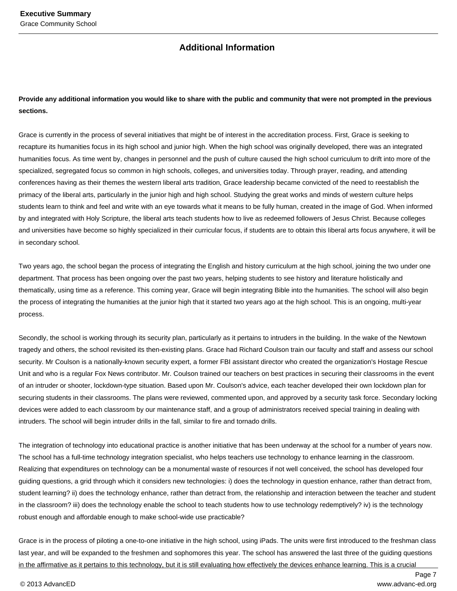#### **Additional Information**

#### **Provide any additional information you would like to share with the public and community that were not prompted in the previous sections.**

Grace is currently in the process of several initiatives that might be of interest in the accreditation process. First, Grace is seeking to recapture its humanities focus in its high school and junior high. When the high school was originally developed, there was an integrated humanities focus. As time went by, changes in personnel and the push of culture caused the high school curriculum to drift into more of the specialized, segregated focus so common in high schools, colleges, and universities today. Through prayer, reading, and attending conferences having as their themes the western liberal arts tradition, Grace leadership became convicted of the need to reestablish the primacy of the liberal arts, particularly in the junior high and high school. Studying the great works and minds of western culture helps students learn to think and feel and write with an eye towards what it means to be fully human, created in the image of God. When informed by and integrated with Holy Scripture, the liberal arts teach students how to live as redeemed followers of Jesus Christ. Because colleges and universities have become so highly specialized in their curricular focus, if students are to obtain this liberal arts focus anywhere, it will be in secondary school.

Two years ago, the school began the process of integrating the English and history curriculum at the high school, joining the two under one department. That process has been ongoing over the past two years, helping students to see history and literature holistically and thematically, using time as a reference. This coming year, Grace will begin integrating Bible into the humanities. The school will also begin the process of integrating the humanities at the junior high that it started two years ago at the high school. This is an ongoing, multi-year process.

Secondly, the school is working through its security plan, particularly as it pertains to intruders in the building. In the wake of the Newtown tragedy and others, the school revisited its then-existing plans. Grace had Richard Coulson train our faculty and staff and assess our school security. Mr Coulson is a nationally-known security expert, a former FBI assistant director who created the organization's Hostage Rescue Unit and who is a regular Fox News contributor. Mr. Coulson trained our teachers on best practices in securing their classrooms in the event of an intruder or shooter, lockdown-type situation. Based upon Mr. Coulson's advice, each teacher developed their own lockdown plan for securing students in their classrooms. The plans were reviewed, commented upon, and approved by a security task force. Secondary locking devices were added to each classroom by our maintenance staff, and a group of administrators received special training in dealing with intruders. The school will begin intruder drills in the fall, similar to fire and tornado drills.

The integration of technology into educational practice is another initiative that has been underway at the school for a number of years now. The school has a full-time technology integration specialist, who helps teachers use technology to enhance learning in the classroom. Realizing that expenditures on technology can be a monumental waste of resources if not well conceived, the school has developed four guiding questions, a grid through which it considers new technologies: i) does the technology in question enhance, rather than detract from, student learning? ii) does the technology enhance, rather than detract from, the relationship and interaction between the teacher and student in the classroom? iii) does the technology enable the school to teach students how to use technology redemptively? iv) is the technology robust enough and affordable enough to make school-wide use practicable?

Grace is in the process of piloting a one-to-one initiative in the high school, using iPads. The units were first introduced to the freshman class last year, and will be expanded to the freshmen and sophomores this year. The school has answered the last three of the guiding questions in the affirmative as it pertains to this technology, but it is still evaluating how effectively the devices enhance learning. This is a crucial